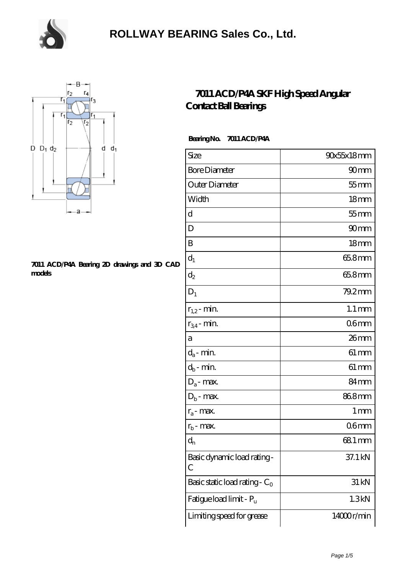



#### **[7011 ACD/P4A Bearing 2D drawings and 3D CAD](https://m.chooseyourcufflinks.com/pic-938463.html) [models](https://m.chooseyourcufflinks.com/pic-938463.html)**

#### **[7011 ACD/P4A SKF High Speed Angular](https://m.chooseyourcufflinks.com/skf-bearing/7011-acd-p4a.html) [Contact Ball Bearings](https://m.chooseyourcufflinks.com/skf-bearing/7011-acd-p4a.html)**

#### **Bearing No. 7011 ACD/P4A**

| Size                             | 90x55x18mm          |
|----------------------------------|---------------------|
| <b>Bore Diameter</b>             | 90 <sub>mm</sub>    |
| Outer Diameter                   | $55$ mm             |
| Width                            | 18 <sub>mm</sub>    |
| d                                | $55$ mm             |
| D                                | 90 <sub>mm</sub>    |
| B                                | 18 <sub>mm</sub>    |
| $d_1$                            | 65.8mm              |
| $\mathrm{d}_2$                   | 65.8mm              |
| $D_1$                            | 79.2mm              |
| $r_{1,2}$ - min.                 | $1.1 \,\mathrm{mm}$ |
| $r_{34}$ - min.                  | 06 <sub>mm</sub>    |
| а                                | 26mm                |
| $d_a$ - min.                     | $61 \, \text{mm}$   |
| $d_b$ - min.                     | $61 \, \text{mm}$   |
| $D_a$ - max.                     | 84mm                |
| $D_b$ - max.                     | 868mm               |
| $r_a$ - max.                     | 1 mm                |
| $r_{b}$ - max.                   | 06 <sub>mm</sub>    |
| $d_{n}$                          | 681 mm              |
| Basic dynamic load rating-<br>С  | 37.1 kN             |
| Basic static load rating - $C_0$ | 31 kN               |
| Fatigue load limit - Pu          | 1.3kN               |
| Limiting speed for grease        | 14000r/min          |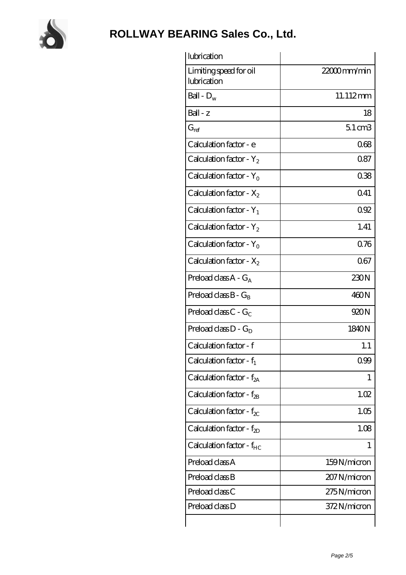

| lubrication                           |                   |
|---------------------------------------|-------------------|
| Limiting speed for oil<br>lubrication | 22000mm/min       |
| Ball - $D_w$                          | 11.112mm          |
| $Ball - z$                            | 18                |
| $G_{ref}$                             | $51 \text{ cm}$ 3 |
| Calculation factor - e                | 068               |
| Calculation factor - $Y_2$            | 0.87              |
| Calculation factor - $Y_0$            | 038               |
| Calculation factor - $X_2$            | 041               |
| Calculation factor - $Y_1$            | 092               |
| Calculation factor - $Y_2$            | 1.41              |
| Calculation factor - $Y_0$            | 076               |
| Calculation factor - $X_2$            | 067               |
| Preload class $A - G_A$               | 230N              |
| Preload class $B - G_B$               | 460N              |
| Preload class $C - G_C$               | 920N              |
| Preload class $D - G_D$               | 1840N             |
| Calculation factor - f                | 1.1               |
| Calculation factor - $f_1$            | 0.99              |
| Calculation factor - $f_{2A}$         | 1                 |
| Calculation factor - $f_{2B}$         | 1.02              |
| Calculation factor - $f_{\chi}$       | 1.05              |
| Calculation factor - $f_{2D}$         | 1.08              |
| Calculation factor - $f_{HC}$         | 1                 |
| Preload class A                       | 159N/micron       |
| Preload class B                       | 207 N/micron      |
| Preload class C                       | 275N/micron       |
| Preload class D                       | 372N/micron       |
|                                       |                   |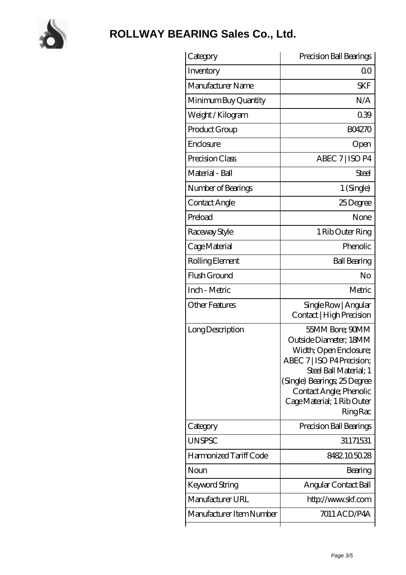

| Category                 | Precision Ball Bearings                                                                                                                                                                                                                 |
|--------------------------|-----------------------------------------------------------------------------------------------------------------------------------------------------------------------------------------------------------------------------------------|
| Inventory                | 00                                                                                                                                                                                                                                      |
| Manufacturer Name        | <b>SKF</b>                                                                                                                                                                                                                              |
| Minimum Buy Quantity     | N/A                                                                                                                                                                                                                                     |
| Weight/Kilogram          | 039                                                                                                                                                                                                                                     |
| Product Group            | <b>BO4270</b>                                                                                                                                                                                                                           |
| Enclosure                | Open                                                                                                                                                                                                                                    |
| Precision Class          | ABEC 7   ISO P4                                                                                                                                                                                                                         |
| Material - Ball          | <b>Steel</b>                                                                                                                                                                                                                            |
| Number of Bearings       | 1 (Single)                                                                                                                                                                                                                              |
| Contact Angle            | 25Degree                                                                                                                                                                                                                                |
| Preload                  | None                                                                                                                                                                                                                                    |
| Raceway Style            | 1 Rib Outer Ring                                                                                                                                                                                                                        |
| Cage Material            | Phenolic                                                                                                                                                                                                                                |
| Rolling Element          | <b>Ball Bearing</b>                                                                                                                                                                                                                     |
| Flush Ground             | No                                                                                                                                                                                                                                      |
| Inch - Metric            | Metric                                                                                                                                                                                                                                  |
| <b>Other Features</b>    | Single Row   Angular<br>Contact   High Precision                                                                                                                                                                                        |
| Long Description         | 55MM Bore; 90MM<br>Outside Diameter; 18MM<br>Width; Open Enclosure;<br>ABEC 7   ISO P4 Precision;<br>Steel Ball Material; 1<br>(Single) Bearings, 25 Degree<br>Contact Angle; Phenolic<br>Cage Material; 1 Rib Outer<br><b>Ring Rac</b> |
| Category                 | Precision Ball Bearings                                                                                                                                                                                                                 |
| <b>UNSPSC</b>            | 31171531                                                                                                                                                                                                                                |
| Harmonized Tariff Code   | 8482105028                                                                                                                                                                                                                              |
| Noun                     | Bearing                                                                                                                                                                                                                                 |
| Keyword String           | Angular Contact Ball                                                                                                                                                                                                                    |
| Manufacturer URL         | http://www.skf.com                                                                                                                                                                                                                      |
| Manufacturer Item Number | 7011 ACD/P4A                                                                                                                                                                                                                            |
|                          |                                                                                                                                                                                                                                         |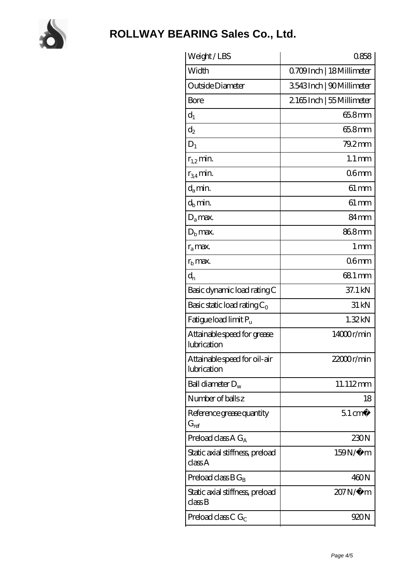

| Weight/LBS                                  | 0858                     |
|---------------------------------------------|--------------------------|
| Width                                       | Q709Inch   18 Millimeter |
| Outside Diameter                            | 3543Inch   90Millimeter  |
| <b>Bore</b>                                 | 2165Inch   55 Millimeter |
| $d_1$                                       | $658$ mm                 |
| $d_2$                                       | 65.8mm                   |
| $D_1$                                       | $79.2$ mm                |
| $r_{1,2}$ min.                              | $1.1 \,\mathrm{mm}$      |
| $r_{34}$ min.                               | 06 <sub>mm</sub>         |
| $d_a$ min.                                  | $61 \,\mathrm{mm}$       |
| $d_h$ min.                                  | $61 \,\mathrm{mm}$       |
| $D_a$ max.                                  | 84 <sub>mm</sub>         |
| $D_{b}$ max.                                | 868mm                    |
| $r_a$ max.                                  | $1 \,\mathrm{mm}$        |
| $rb$ max.                                   | 06mm                     |
| $d_{n}$                                     | 68.1 mm                  |
| Basic dynamic load rating C                 | 37.1 kN                  |
| Basic static load rating $C_0$              | 31 kN                    |
| Fatigue load limit P <sub>u</sub>           | 1.32kN                   |
| Attainable speed for grease<br>lubrication  | 14000r/min               |
| Attainable speed for oil-air<br>lubrication | 22000r/min               |
| Ball diameter $D_w$                         | 11.112mm                 |
| Number of balls z                           | 18                       |
| Reference grease quantity<br>$G_{ref}$      | $51 \text{ cm}^3$        |
| Preload class $A G_A$                       | 230N                     |
| Static axial stiffness, preload<br>classA   | 159N/μ m                 |
| Preload class $BG_B$                        | 460N                     |
| Static axial stiffness, preload<br>classB   | 207N/µ m                 |
|                                             |                          |